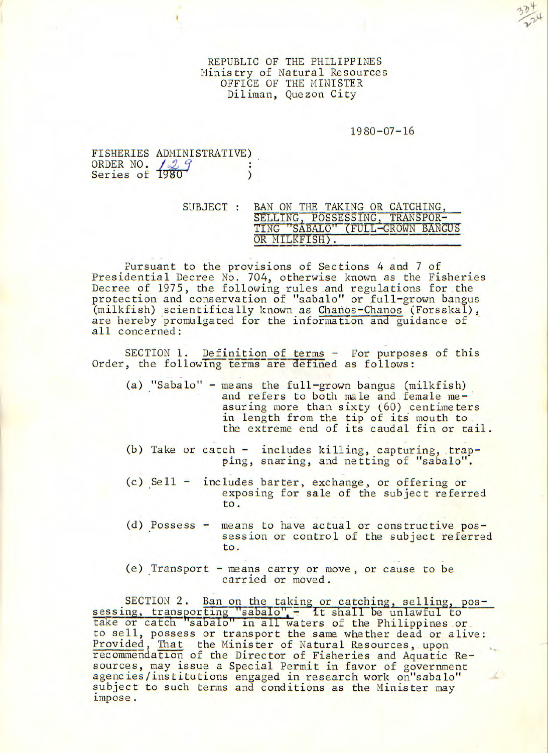REPUBLIC OF THE PHILIPPINES Ministry of Natural Resources OFFICE OF THE MINISTER Diliman, Quezon City

## 1980-07-16

|                             | FISHERIES ADMINISTRATIVE) |  |
|-----------------------------|---------------------------|--|
| ORDER NO. 1980 <sup>9</sup> |                           |  |
|                             |                           |  |
|                             |                           |  |

| SUBJECT : | BAN ON THE TAKING OR CATCHING.   |
|-----------|----------------------------------|
|           | SELLING, POSSESSING, TRANSPOR-   |
|           | TING "SABALO" (FULL-GROWN BANGUS |
|           | OR MILKFISH).                    |

Pursuant to the provisions of Sections 4 and 7 of Presidential Decree No. 704, otherwise known as the Fisheries Decree of 1975, the following rules and regulations for the protection and conservation of "sabalo" or full-grown bangus (milkfish) scientifically known as Chanos-Chanos (Forsskal), are hereby promulgated for the information and guidance of all concerned:

SECTION 1. Definition of terms - For purposes of this Order, the following terms are defined as follows:

- (a) "Sabalo" means the full-grown bangus (milkfish) and refers to both male and female measuring more than sixty (60) centimeters in length from the tip of its mouth to the extreme end of its caudal fin or tail.
- (b) Take or catch  $-$  includes killing, capturing, trapping, snaring, and netting of "sabalo".
- (c) Sell includes barter, exchange, or offering or exposing for sale of the subject referred to.
- (d) Possess means to have actual or constructive possession or control of the subject referred to.
- (e) Transport means carry or move, or cause to be carried or moved.

SECTION 2. Ban on the taking or catching, selling, pos-<br>sessing, transporting "sabalo" - It shall be unlawful to or catch "sabalo" in all waters of the Philippines or to sell, possess or transport the same whether dead or alive: Provided, That the Minister of Natural Resources, upon recommendation of the Director of Fisheries and Aquatic Resources, may issue a Special Permit in favor of government agencies/institutions engaged in research work on"sabalo" subject to such terms and conditions as the Minister may impose.